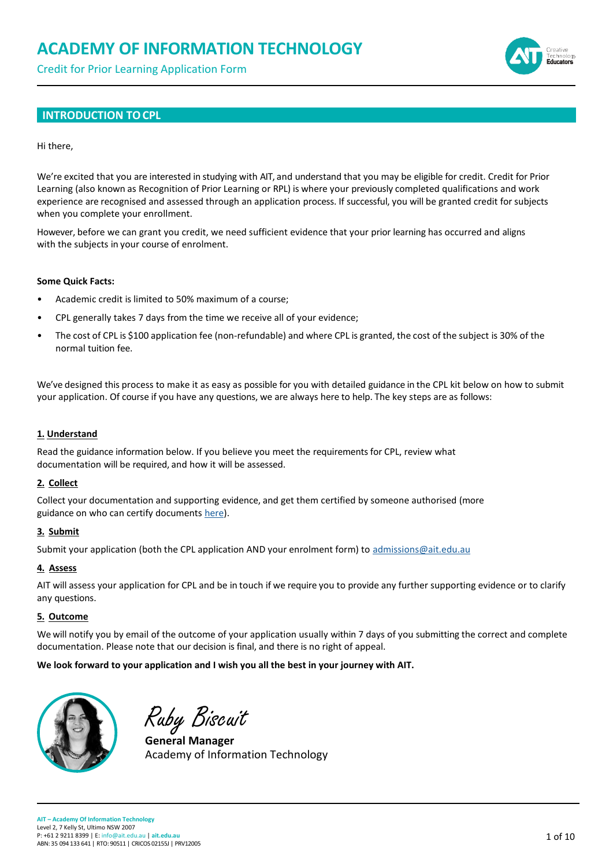Credit for Prior Learning Application Form



### **INTRODUCTION TO CPL**

#### Hi there,

We're excited that you are interested in studying with AIT, and understand that you may be eligible for credit. Credit for Prior Learning (also known as Recognition of Prior Learning or RPL) is where your previously completed qualifications and work experience are recognised and assessed through an application process. If successful, you will be granted credit for subjects when you complete your enrollment.

However, before we can grant you credit, we need sufficient evidence that your prior learning has occurred and aligns with the subjects in your course of enrolment.

#### **Some Quick Facts:**

- Academic credit is limited to 50% maximum of a course;
- CPL generally takes 7 days from the time we receive all of your evidence;
- The cost of CPL is \$100 application fee (non-refundable) and where CPL is granted, the cost of the subject is 30% of the normal tuition fee.

We've designed this process to make it as easy as possible for you with detailed guidance in the CPL kit below on how to submit your application. Of course if you have any questions, we are always here to help. The key steps are as follows:

#### **1. Understand**

Read the guidance information below. If you believe you meet the requirements for CPL, review what documentation will be required, and how it will be assessed.

#### **2. Collect**

Collect your documentation and supporting evidence, and get them certified by someone authorised (more guidance on who can certify documents [here\)](https://www.justice.vic.gov.au/certifiedcopies).

#### **3. Submit**

Submit your application (both the CPL application AND your enrolment form) to [admissions@ait.edu.au](mailto:admissions@ait.edu.au)

### **4. Assess**

AIT will assess your application for CPL and be in touch if we require you to provide any further supporting evidence or to clarify any questions.

#### **5. Outcome**

We will notify you by email of the outcome of your application usually within 7 days of you submitting the correct and complete documentation. Please note that our decision is final, and there is no right of appeal.

**We look forward to your application and I wish you all the best in your journey with AIT.**



Ruby Biscuit

**General Manager** Academy of Information Technology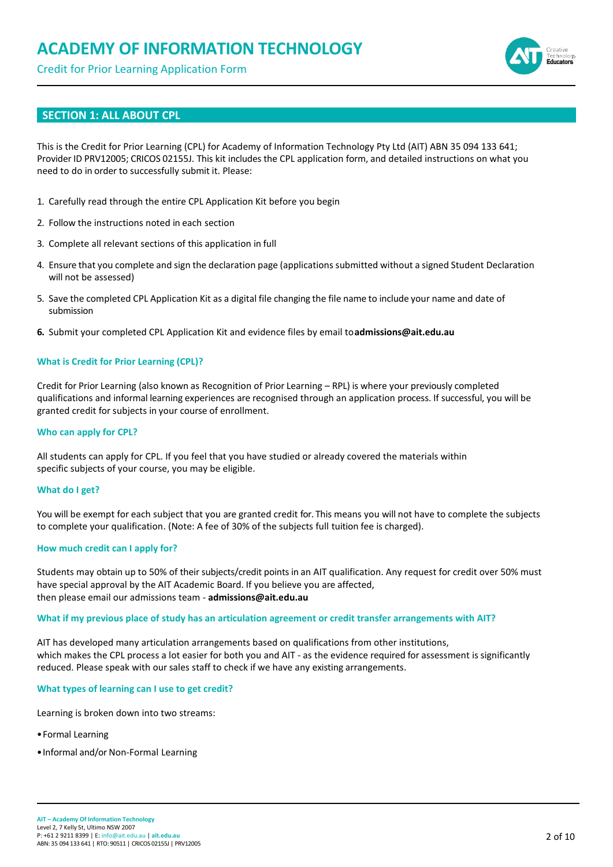Credit for Prior Learning Application Form



### **SECTION 1: ALL ABOUT CPL**

This is the Credit for Prior Learning (CPL) for Academy of Information Technology Pty Ltd (AIT) ABN 35 094 133 641; Provider ID PRV12005; CRICOS 02155J. This kit includes the CPL application form, and detailed instructions on what you need to do in order to successfully submit it. Please:

- 1. Carefully read through the entire CPL Application Kit before you begin
- 2. Follow the instructions noted in each section
- 3. Complete all relevant sections of this application in full
- 4. Ensure that you complete and sign the declaration page (applications submitted without a signed Student Declaration will not be assessed)
- 5. Save the completed CPL Application Kit as a digital file changing the file name to include your name and date of submission
- **6.** Submit your completed CPL Application Kit and evidence files by email to**[admissions@ait.edu.au](mailto:admissions@ait.edu.au)**

#### **What is Credit for Prior Learning (CPL)?**

Credit for Prior Learning (also known as Recognition of Prior Learning – RPL) is where your previously completed qualifications and informal learning experiences are recognised through an application process. If successful, you will be granted credit for subjects in your course of enrollment.

#### **Who can apply for CPL?**

All students can apply for CPL. If you feel that you have studied or already covered the materials within specific subjects of your course, you may be eligible.

#### **What do I get?**

You will be exempt for each subject that you are granted credit for. This means you will not have to complete the subjects to complete your qualification. (Note: A fee of 30% of the subjects full tuition fee is charged).

#### **How much credit can I apply for?**

Students may obtain up to 50% of their subjects/credit points in an AIT qualification. Any request for credit over 50% must have special approval by the AIT Academic Board. If you believe you are affected, then please email our admissions team - **[admissions@ait.edu.au](mailto:admissions@ait.edu.au)**

#### **What if my previous place of study has an articulation agreement or credit transfer arrangements with AIT?**

AIT has developed many articulation arrangements based on qualifications from other institutions, which makes the CPL process a lot easier for both you and AIT - as the evidence required for assessment is significantly reduced. Please speak with our sales staff to check if we have any existing arrangements.

**What types of learning can I use to get credit?**

Learning is broken down into two streams:

- •Formal Learning
- •Informal and/or Non-Formal Learning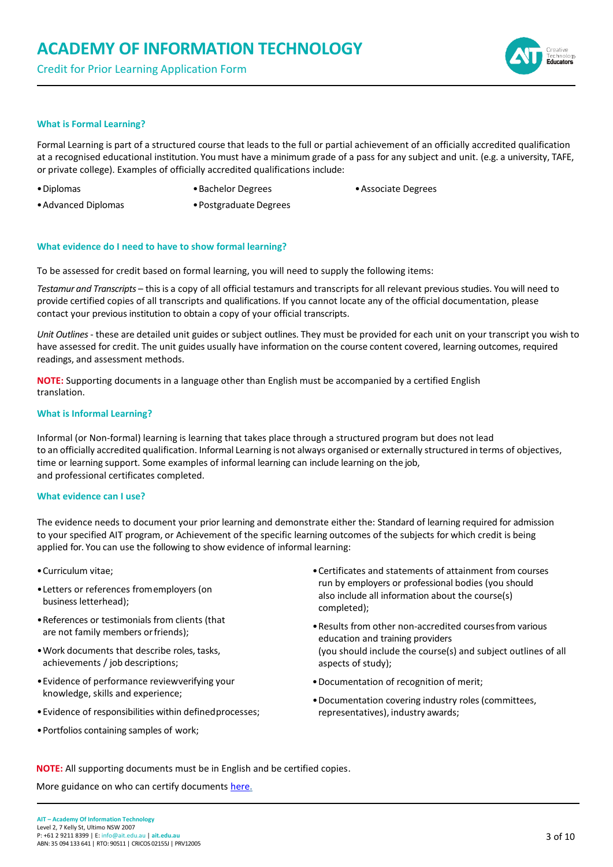Credit for Prior Learning Application Form



#### **What is Formal Learning?**

Formal Learning is part of a structured course that leads to the full or partial achievement of an officially accredited qualification at a recognised educational institution. You must have a minimum grade of a pass for any subject and unit. (e.g. a university, TAFE, or private college). Examples of officially accredited qualifications include:

•Diplomas

- •Bachelor Degrees
- •Associate Degrees

- •Advanced Diplomas
- •Postgraduate Degrees

#### **What evidence do I need to have to show formal learning?**

To be assessed for credit based on formal learning, you will need to supply the following items:

*Testamur and Transcripts* – this is a copy of all official testamurs and transcripts for all relevant previous studies. You will need to provide certified copies of all transcripts and qualifications. If you cannot locate any of the official documentation, please contact your previous institution to obtain a copy of your official transcripts.

*Unit Outlines* - these are detailed unit guides or subject outlines. They must be provided for each unit on your transcript you wish to have assessed for credit. The unit guides usually have information on the course content covered, learning outcomes, required readings, and assessment methods.

**NOTE:** Supporting documents in a language other than English must be accompanied by a certified English translation.

#### **What is Informal Learning?**

Informal (or Non-formal) learning is learning that takes place through a structured program but does not lead to an officially accredited qualification. Informal Learning is not always organised or externally structured in terms of objectives, time or learning support. Some examples of informal learning can include learning on the job, and professional certificates completed.

#### **What evidence can I use?**

The evidence needs to document your prior learning and demonstrate either the: Standard of learning required for admission to your specified AIT program, or Achievement of the specific learning outcomes of the subjects for which credit is being applied for. You can use the following to show evidence of informal learning:

- •Curriculum vitae;
- •Letters or references fromemployers (on business letterhead);
- •References or testimonials from clients (that are not family members or friends);
- •Work documents that describe roles, tasks, achievements / job descriptions;
- •Evidence of performance reviewverifying your knowledge, skills and experience;
- •Evidence of responsibilities within definedprocesses;
- •Portfolios containing samples of work;
- •Certificates and statements of attainment from courses run by employers or professional bodies (you should also include all information about the course(s) completed);
- •Results from other non-accredited coursesfrom various education and training providers (you should include the course(s) and subject outlines of all aspects of study);
- •Documentation of recognition of merit;
- •Documentation covering industry roles (committees, representatives), industry awards;

**NOTE:** All supporting documents must be in English and be certified copies.

More guidance on who can certify documents [here.](https://www.justice.vic.gov.au/certifiedcopies)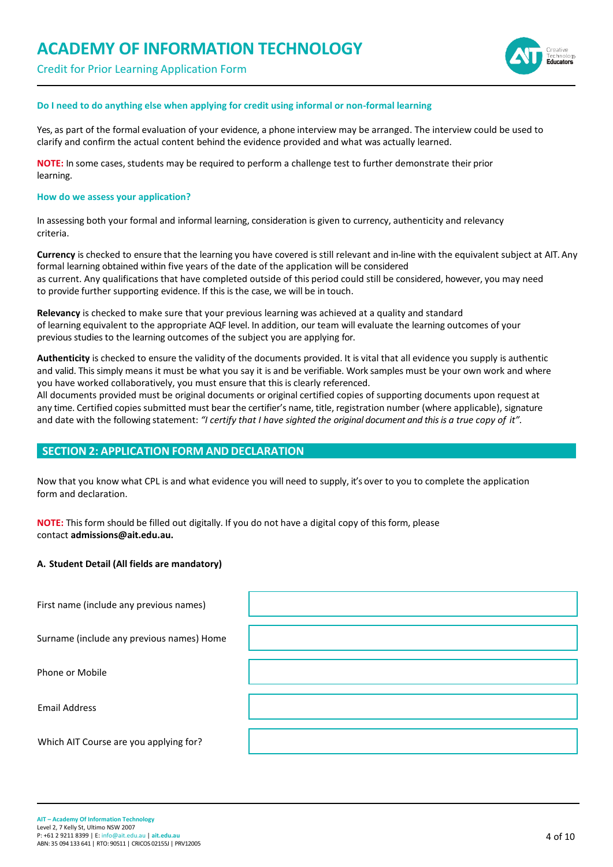Credit for Prior Learning Application Form



#### **Do I need to do anything else when applying for credit using informal or non-formal learning**

Yes, as part of the formal evaluation of your evidence, a phone interview may be arranged. The interview could be used to clarify and confirm the actual content behind the evidence provided and what was actually learned.

**NOTE:** In some cases, students may be required to perform a challenge test to further demonstrate their prior learning.

#### **How do we assess your application?**

In assessing both your formal and informal learning, consideration is given to currency, authenticity and relevancy criteria.

**Currency** is checked to ensure that the learning you have covered is still relevant and in-line with the equivalent subject at AIT. Any formal learning obtained within five years of the date of the application will be considered as current. Any qualifications that have completed outside of this period could still be considered, however, you may need to provide further supporting evidence. If this is the case, we will be in touch.

**Relevancy** is checked to make sure that your previous learning was achieved at a quality and standard of learning equivalent to the appropriate AQF level. In addition, our team will evaluate the learning outcomes of your previous studies to the learning outcomes of the subject you are applying for.

**Authenticity** is checked to ensure the validity of the documents provided. It is vital that all evidence you supply is authentic and valid. This simply means it must be what you say it is and be verifiable. Work samples must be your own work and where you have worked collaboratively, you must ensure that this is clearly referenced.

All documents provided must be original documents or original certified copies of supporting documents upon request at any time. Certified copies submitted must bear the certifier's name, title, registration number (where applicable), signature and date with the following statement: *"I certify that I have sighted the original document and this is a true copy of it".*

#### **SECTION 2: APPLICATION FORM AND DECLARATION**

Now that you know what CPL is and what evidence you will need to supply, it's over to you to complete the application form and declaration.

**NOTE:** This form should be filled out digitally. If you do not have a digital copy of this form, please contact **[admissions@ait.edu.au.](mailto:admissions@ait.edu.au)**

#### **A. Student Detail (All fields are mandatory)**

| First name (include any previous names)   |  |
|-------------------------------------------|--|
| Surname (include any previous names) Home |  |
| Phone or Mobile                           |  |
| <b>Email Address</b>                      |  |
| Which AIT Course are you applying for?    |  |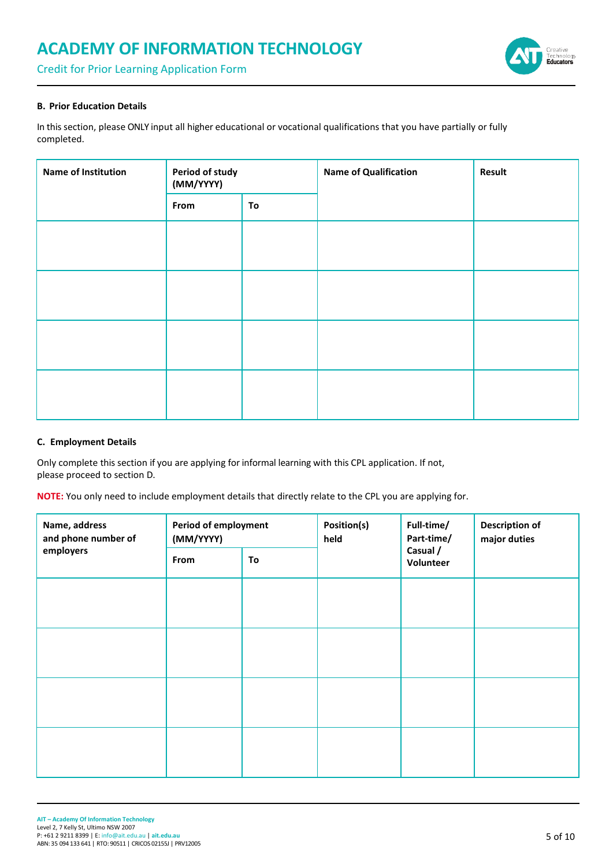Credit for Prior Learning Application Form



#### **B. Prior Education Details**

In this section, please ONLY input all higher educational or vocational qualifications that you have partially or fully completed.

| Name of Institution | Period of study<br>(MM/YYYY) |  | <b>Name of Qualification</b> | Result |
|---------------------|------------------------------|--|------------------------------|--------|
| To<br>From          |                              |  |                              |        |
|                     |                              |  |                              |        |
|                     |                              |  |                              |        |
|                     |                              |  |                              |        |
|                     |                              |  |                              |        |

#### **C. Employment Details**

Only complete this section if you are applying for informal learning with this CPL application. If not, please proceed to section D.

**NOTE:** You only need to include employment details that directly relate to the CPL you are applying for.

| Name, address<br>and phone number of | <b>Period of employment</b><br>(MM/YYYY) |    | Position(s)<br>held | Full-time/<br>Part-time/ | <b>Description of</b><br>major duties |
|--------------------------------------|------------------------------------------|----|---------------------|--------------------------|---------------------------------------|
| employers                            | From                                     | To |                     | Casual /<br>Volunteer    |                                       |
|                                      |                                          |    |                     |                          |                                       |
|                                      |                                          |    |                     |                          |                                       |
|                                      |                                          |    |                     |                          |                                       |
|                                      |                                          |    |                     |                          |                                       |
|                                      |                                          |    |                     |                          |                                       |
|                                      |                                          |    |                     |                          |                                       |
|                                      |                                          |    |                     |                          |                                       |
|                                      |                                          |    |                     |                          |                                       |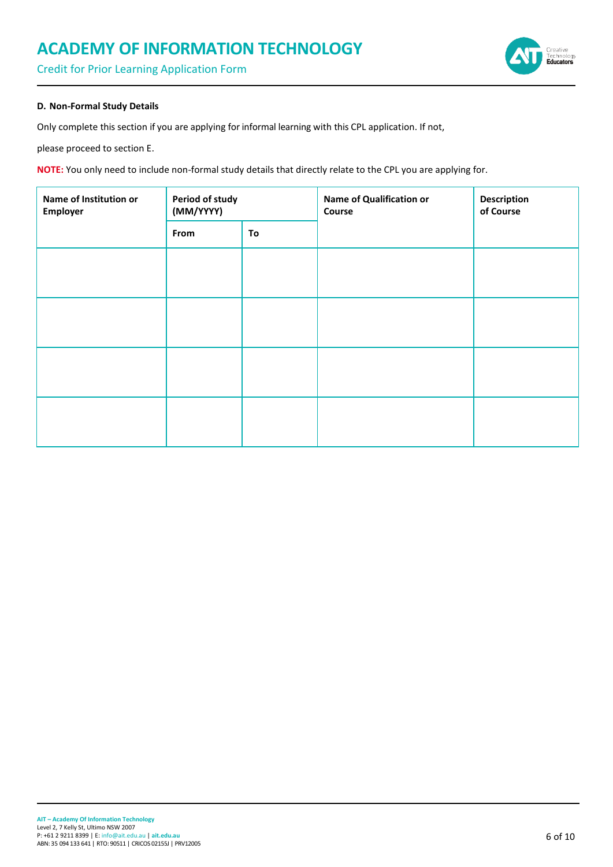Credit for Prior Learning Application Form



#### **D. Non-Formal Study Details**

Only complete this section if you are applying for informal learning with this CPL application. If not,

please proceed to section E.

**NOTE:** You only need to include non-formal study details that directly relate to the CPL you are applying for.

| Name of Institution or<br>Employer | Period of study<br>(MM/YYYY) |    | Name of Qualification or<br>Course | <b>Description</b><br>of Course |  |
|------------------------------------|------------------------------|----|------------------------------------|---------------------------------|--|
|                                    | From                         | To |                                    |                                 |  |
|                                    |                              |    |                                    |                                 |  |
|                                    |                              |    |                                    |                                 |  |
|                                    |                              |    |                                    |                                 |  |
|                                    |                              |    |                                    |                                 |  |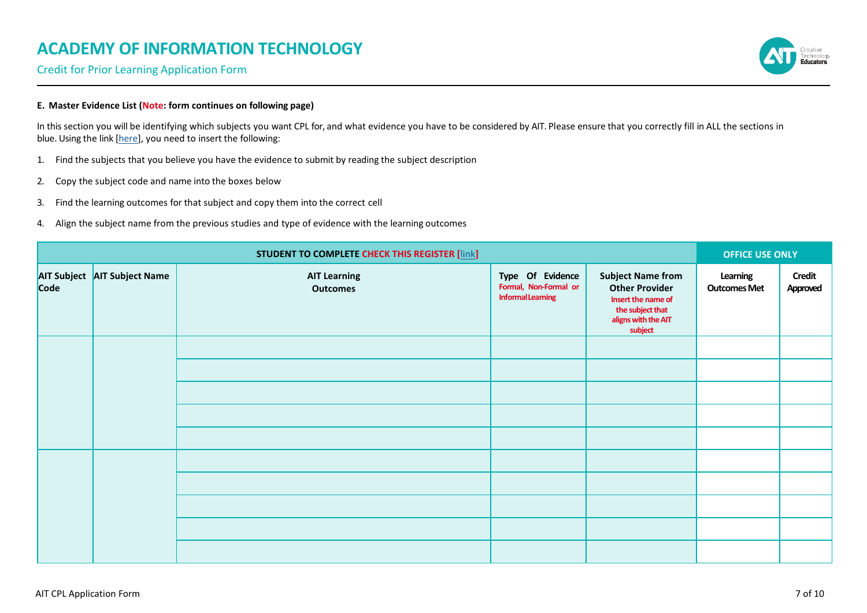Credit for Prior Learning Application Form

### **E. Master Evidence List (Note: form continues on following page)**

In this section you will be identifying which subjects you want CPL for, and what evidence you have to be considered by AIT. Please ensure that you correctly fill in ALL the sections in blue. Using the link [\[here\]](https://f.hubspotusercontent20.net/hubfs/493379/AIT%20Subject%20Database%202020.pdf), you need to insert the following:

- 1. Find the subjects that you believe you have the evidence to submit by reading the subject description
- 2. Copy the subject code and name into the boxes below
- 3. Find the learning outcomes for that subject and copy them into the correct cell
- 4. Align the subject name from the previous studies and type of evidence with the learning outcomes

| <b>STUDENT TO COMPLETE CHECK THIS REGISTER [link]</b> |                              |                                        |                                                                       | <b>OFFICE USE ONLY</b>                                                                                                        |                                 |                           |
|-------------------------------------------------------|------------------------------|----------------------------------------|-----------------------------------------------------------------------|-------------------------------------------------------------------------------------------------------------------------------|---------------------------------|---------------------------|
|                                                       | AIT Subject AIT Subject Name | <b>AIT Learning</b><br><b>Outcomes</b> | Type Of Evidence<br>Formal, Non-Formal or<br><b>Informal Learning</b> | <b>Subject Name from</b><br><b>Other Provider</b><br>Insert the name of<br>the subject that<br>aligns with the AIT<br>subject | Learning<br><b>Outcomes Met</b> | <b>Credit</b><br>Approved |
|                                                       |                              |                                        |                                                                       |                                                                                                                               |                                 |                           |
|                                                       |                              |                                        |                                                                       |                                                                                                                               |                                 |                           |
|                                                       |                              |                                        |                                                                       |                                                                                                                               |                                 |                           |
|                                                       |                              |                                        |                                                                       |                                                                                                                               |                                 |                           |
|                                                       |                              |                                        |                                                                       |                                                                                                                               |                                 |                           |
|                                                       |                              |                                        |                                                                       |                                                                                                                               |                                 |                           |
|                                                       |                              |                                        |                                                                       |                                                                                                                               |                                 |                           |
|                                                       |                              |                                        |                                                                       |                                                                                                                               |                                 |                           |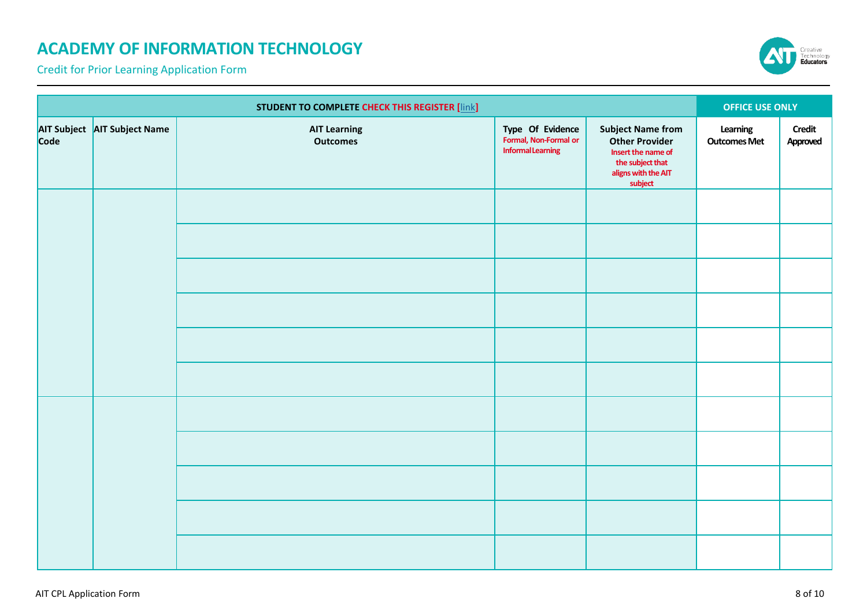Credit for Prior Learning Application Form



|      | <b>STUDENT TO COMPLETE CHECK THIS REGISTER [link]</b> |                                        |                                                                       | <b>OFFICE USE ONLY</b>                                                                                                        |                                 |                           |
|------|-------------------------------------------------------|----------------------------------------|-----------------------------------------------------------------------|-------------------------------------------------------------------------------------------------------------------------------|---------------------------------|---------------------------|
| Code | AIT Subject AIT Subject Name                          | <b>AIT Learning</b><br><b>Outcomes</b> | Type Of Evidence<br>Formal, Non-Formal or<br><b>Informal Learning</b> | <b>Subject Name from</b><br><b>Other Provider</b><br>Insert the name of<br>the subject that<br>aligns with the AIT<br>subject | Learning<br><b>Outcomes Met</b> | <b>Credit</b><br>Approved |
|      |                                                       |                                        |                                                                       |                                                                                                                               |                                 |                           |
|      |                                                       |                                        |                                                                       |                                                                                                                               |                                 |                           |
|      |                                                       |                                        |                                                                       |                                                                                                                               |                                 |                           |
|      |                                                       |                                        |                                                                       |                                                                                                                               |                                 |                           |
|      |                                                       |                                        |                                                                       |                                                                                                                               |                                 |                           |
|      |                                                       |                                        |                                                                       |                                                                                                                               |                                 |                           |
|      |                                                       |                                        |                                                                       |                                                                                                                               |                                 |                           |
|      |                                                       |                                        |                                                                       |                                                                                                                               |                                 |                           |
|      |                                                       |                                        |                                                                       |                                                                                                                               |                                 |                           |
|      |                                                       |                                        |                                                                       |                                                                                                                               |                                 |                           |
|      |                                                       |                                        |                                                                       |                                                                                                                               |                                 |                           |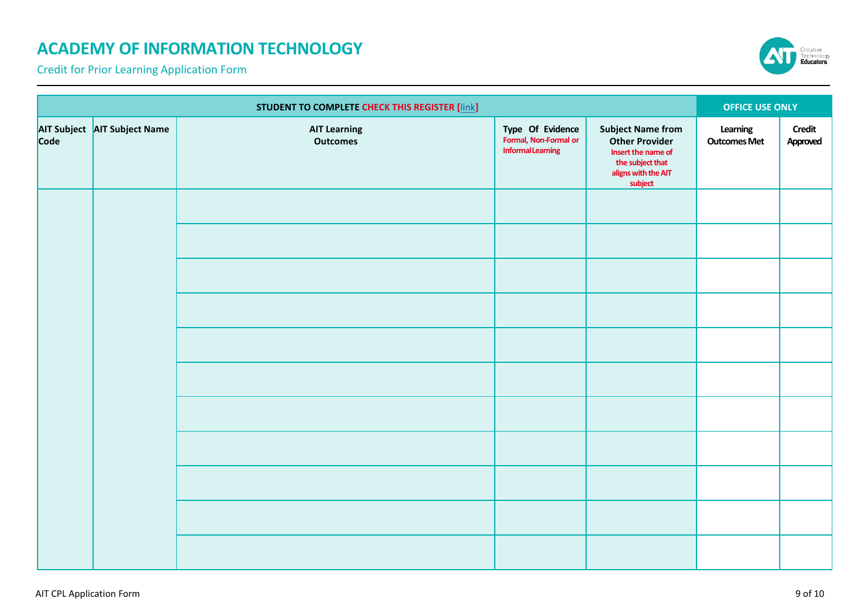Credit for Prior Learning Application Form



|      | <b>STUDENT TO COMPLETE CHECK THIS REGISTER [link]</b> |                                        |                                                                       |                                                                                                                               | <b>OFFICE USE ONLY</b>          |                           |
|------|-------------------------------------------------------|----------------------------------------|-----------------------------------------------------------------------|-------------------------------------------------------------------------------------------------------------------------------|---------------------------------|---------------------------|
| Code | AIT Subject AIT Subject Name                          | <b>AIT Learning</b><br><b>Outcomes</b> | Type Of Evidence<br>Formal, Non-Formal or<br><b>Informal Learning</b> | <b>Subject Name from</b><br><b>Other Provider</b><br>Insert the name of<br>the subject that<br>aligns with the AIT<br>subject | Learning<br><b>Outcomes Met</b> | <b>Credit</b><br>Approved |
|      |                                                       |                                        |                                                                       |                                                                                                                               |                                 |                           |
|      |                                                       |                                        |                                                                       |                                                                                                                               |                                 |                           |
|      |                                                       |                                        |                                                                       |                                                                                                                               |                                 |                           |
|      |                                                       |                                        |                                                                       |                                                                                                                               |                                 |                           |
|      |                                                       |                                        |                                                                       |                                                                                                                               |                                 |                           |
|      |                                                       |                                        |                                                                       |                                                                                                                               |                                 |                           |
|      |                                                       |                                        |                                                                       |                                                                                                                               |                                 |                           |
|      |                                                       |                                        |                                                                       |                                                                                                                               |                                 |                           |
|      |                                                       |                                        |                                                                       |                                                                                                                               |                                 |                           |
|      |                                                       |                                        |                                                                       |                                                                                                                               |                                 |                           |
|      |                                                       |                                        |                                                                       |                                                                                                                               |                                 |                           |